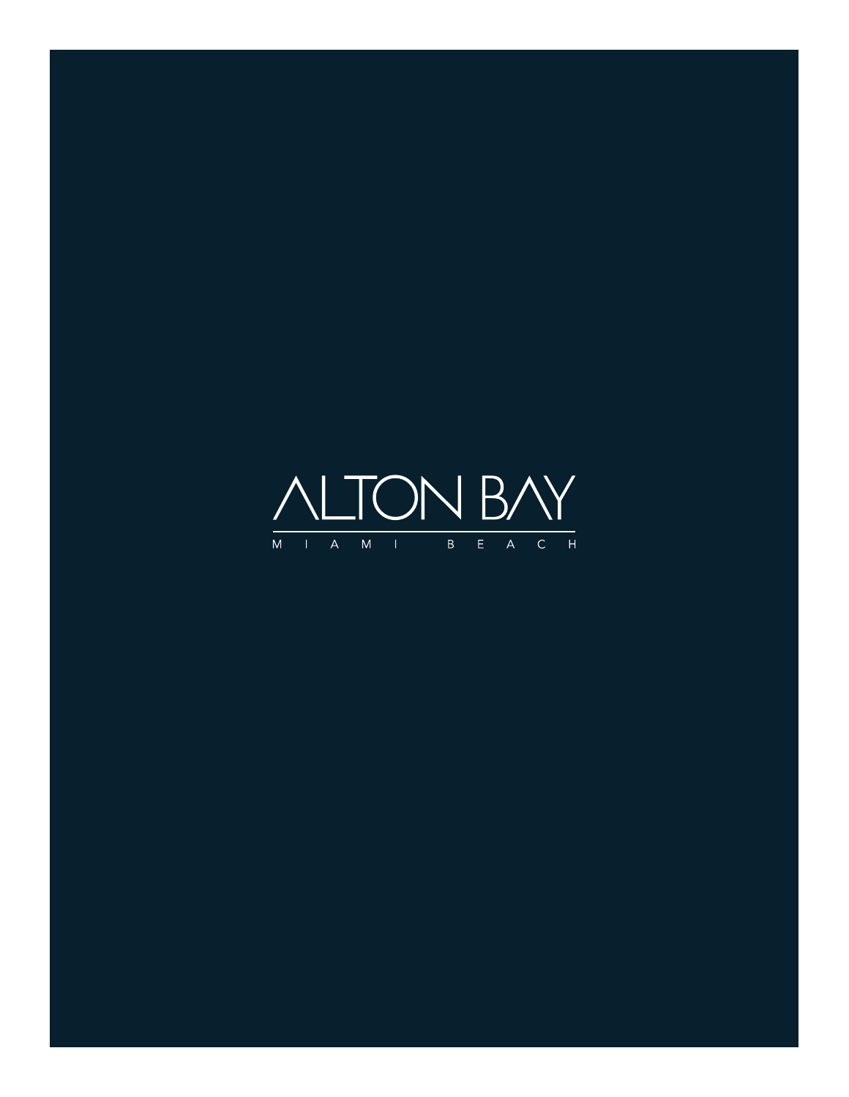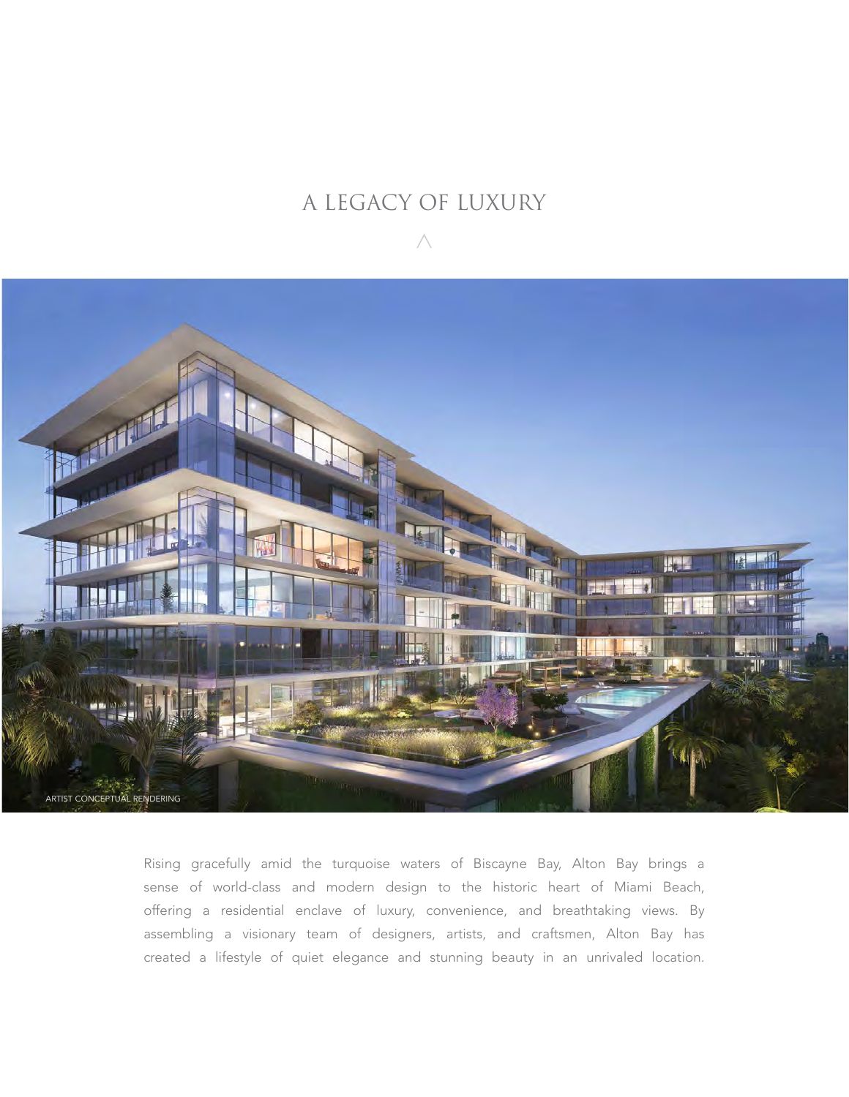# A LEGACY OF LUXURY



Rising gracefully amid the turquoise waters of Biscayne Bay, Alton Bay brings a sense of world-class and modern design to the historic heart of Miami Beach, offering a residential enclave of luxury, convenience, and breathtaking views. By assembling a visionary team of designers, artists, and craftsmen, Alton Bay has created a lifestyle of quiet elegance and stunning beauty in an unrivaled location.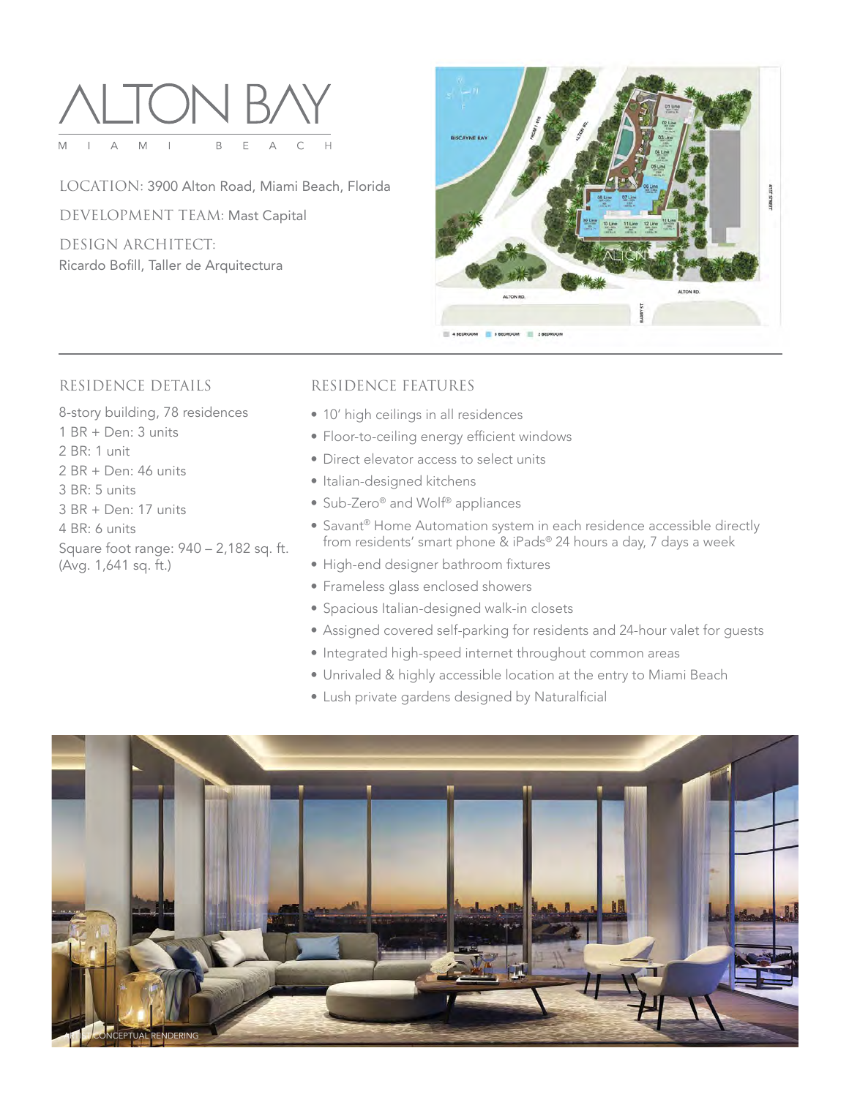

LOCATION: 3900 Alton Road, Miami Beach, Florida DEVELOPMENT TEAM: Mast Capital DESIGN ARCHITECT: Ricardo Bofill, Taller de Arquitectura



### RESIDENCE DETAILS

8-story building, 78 residences

- 1 BR + Den: 3 units
- 2 BR: 1 unit
- 2 BR + Den: 46 units
- 3 BR: 5 units
- 3 BR + Den: 17 units
- 4 BR: 6 units
- Square foot range: 940 2,182 sq. ft. (Avg. 1,641 sq. ft.)

# RESIDENCE FEATURES

- 10' high ceilings in all residences
- Floor-to-ceiling energy efficient windows
- Direct elevator access to select units
- Italian-designed kitchens
- Sub-Zero® and Wolf® appliances
- Savant® Home Automation system in each residence accessible directly from residents' smart phone & iPads® 24 hours a day, 7 days a week
- High-end designer bathroom fixtures
- Frameless glass enclosed showers
- Spacious Italian-designed walk-in closets
- Assigned covered self-parking for residents and 24-hour valet for guests
- Integrated high-speed internet throughout common areas
- Unrivaled & highly accessible location at the entry to Miami Beach
- Lush private gardens designed by Naturalficial

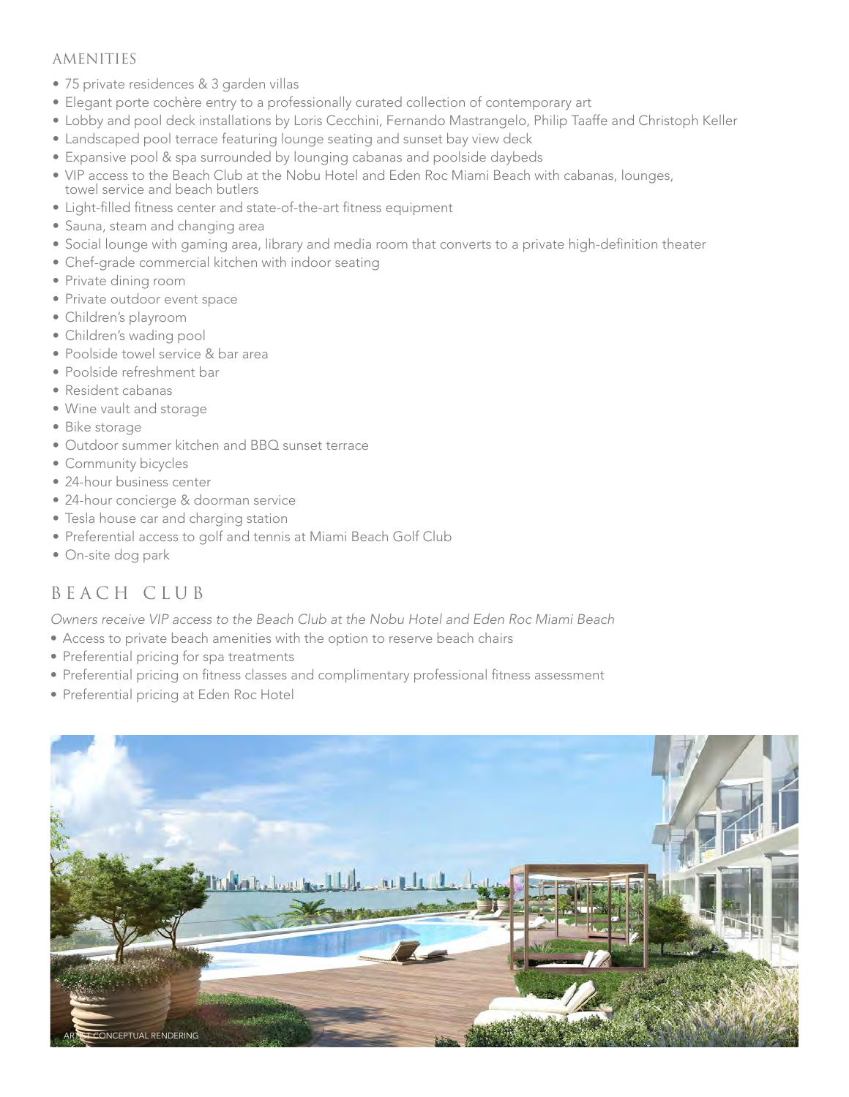## AMENITIES

- 75 private residences & 3 garden villas
- Elegant porte cochère entry to a professionally curated collection of contemporary art
- Lobby and pool deck installations by Loris Cecchini, Fernando Mastrangelo, Philip Taaffe and Christoph Keller
- Landscaped pool terrace featuring lounge seating and sunset bay view deck
- Expansive pool & spa surrounded by lounging cabanas and poolside daybeds
- VIP access to the Beach Club at the Nobu Hotel and Eden Roc Miami Beach with cabanas, lounges, towel service and beach butlers
- Light-filled fitness center and state-of-the-art fitness equipment
- Sauna, steam and changing area
- • Social lounge with gaming area, library and media room that converts to a private high-definition theater
- Chef-grade commercial kitchen with indoor seating
- Private dining room
- Private outdoor event space
- Children's playroom
- Children's wading pool
- Poolside towel service & bar area
- Poolside refreshment bar
- Resident cabanas
- Wine vault and storage
- Bike storage
- Outdoor summer kitchen and BBQ sunset terrace
- Community bicycles
- 24-hour business center
- 24-hour concierge & doorman service
- Tesla house car and charging station
- Preferential access to golf and tennis at Miami Beach Golf Club
- On-site dog park

# BEACH CLUB

*Owners receive VIP access to the Beach Club at the Nobu Hotel and Eden Roc Miami Beach*

- Access to private beach amenities with the option to reserve beach chairs
- Preferential pricing for spa treatments
- Preferential pricing on fitness classes and complimentary professional fitness assessment
- Preferential pricing at Eden Roc Hotel

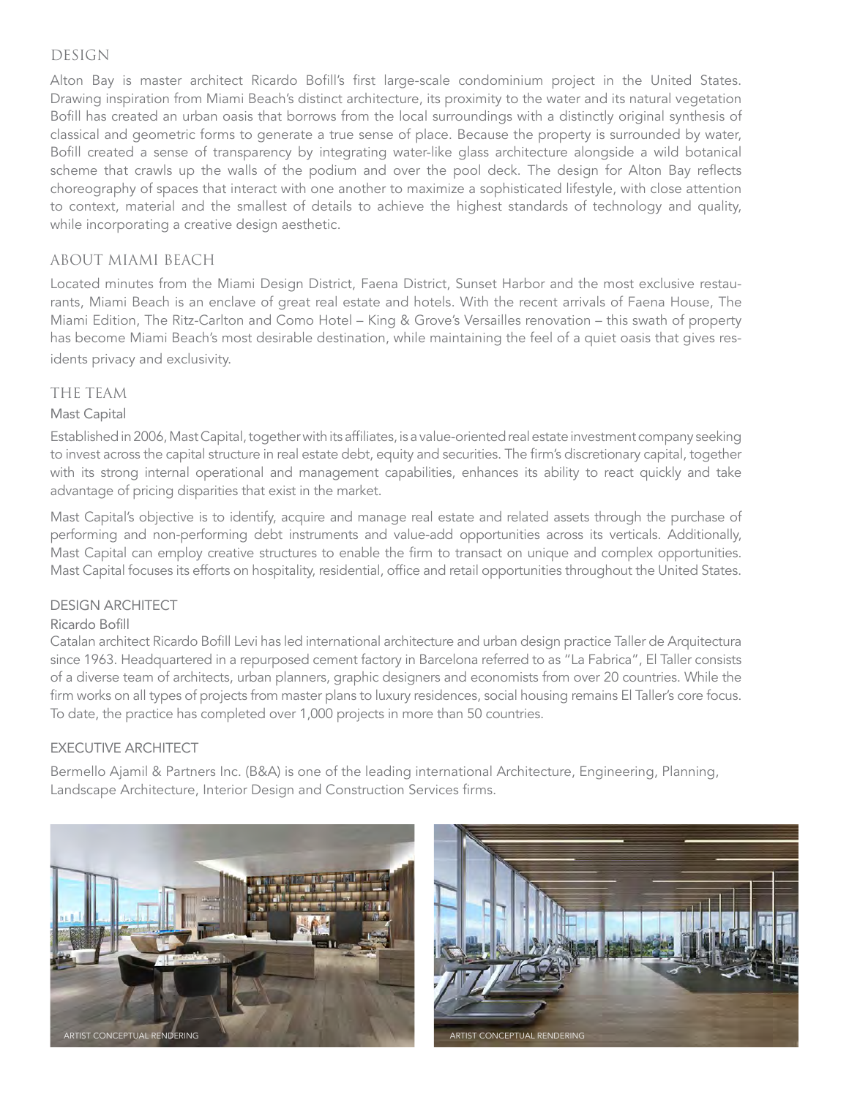#### DESIGN

Alton Bay is master architect Ricardo Bofill's first large-scale condominium project in the United States. Drawing inspiration from Miami Beach's distinct architecture, its proximity to the water and its natural vegetation Bofill has created an urban oasis that borrows from the local surroundings with a distinctly original synthesis of classical and geometric forms to generate a true sense of place. Because the property is surrounded by water, Bofill created a sense of transparency by integrating water-like glass architecture alongside a wild botanical scheme that crawls up the walls of the podium and over the pool deck. The design for Alton Bay reflects choreography of spaces that interact with one another to maximize a sophisticated lifestyle, with close attention to context, material and the smallest of details to achieve the highest standards of technology and quality, while incorporating a creative design aesthetic.

#### ABOUT MIAMI BEACH

Located minutes from the Miami Design District, Faena District, Sunset Harbor and the most exclusive restaurants, Miami Beach is an enclave of great real estate and hotels. With the recent arrivals of Faena House, The Miami Edition, The Ritz-Carlton and Como Hotel – King & Grove's Versailles renovation – this swath of property has become Miami Beach's most desirable destination, while maintaining the feel of a quiet oasis that gives residents privacy and exclusivity.

#### THE TEAM

#### Mast Capital

Established in 2006, Mast Capital, together with its affiliates, is a value-oriented real estate investment company seeking to invest across the capital structure in real estate debt, equity and securities. The firm's discretionary capital, together with its strong internal operational and management capabilities, enhances its ability to react quickly and take advantage of pricing disparities that exist in the market.

Mast Capital's objective is to identify, acquire and manage real estate and related assets through the purchase of performing and non-performing debt instruments and value-add opportunities across its verticals. Additionally, Mast Capital can employ creative structures to enable the firm to transact on unique and complex opportunities. Mast Capital focuses its efforts on hospitality, residential, office and retail opportunities throughout the United States.

#### DESIGN ARCHITECT

#### Ricardo Bofill

Catalan architect Ricardo Bofill Levi has led international architecture and urban design practice Taller de Arquitectura since 1963. Headquartered in a repurposed cement factory in Barcelona referred to as "La Fabrica", El Taller consists of a diverse team of architects, urban planners, graphic designers and economists from over 20 countries. While the firm works on all types of projects from master plans to luxury residences, social housing remains El Taller's core focus. To date, the practice has completed over 1,000 projects in more than 50 countries.

#### EXECUTIVE ARCHITECT

Bermello Ajamil & Partners Inc. (B&A) is one of the leading international Architecture, Engineering, Planning, Landscape Architecture, Interior Design and Construction Services firms.